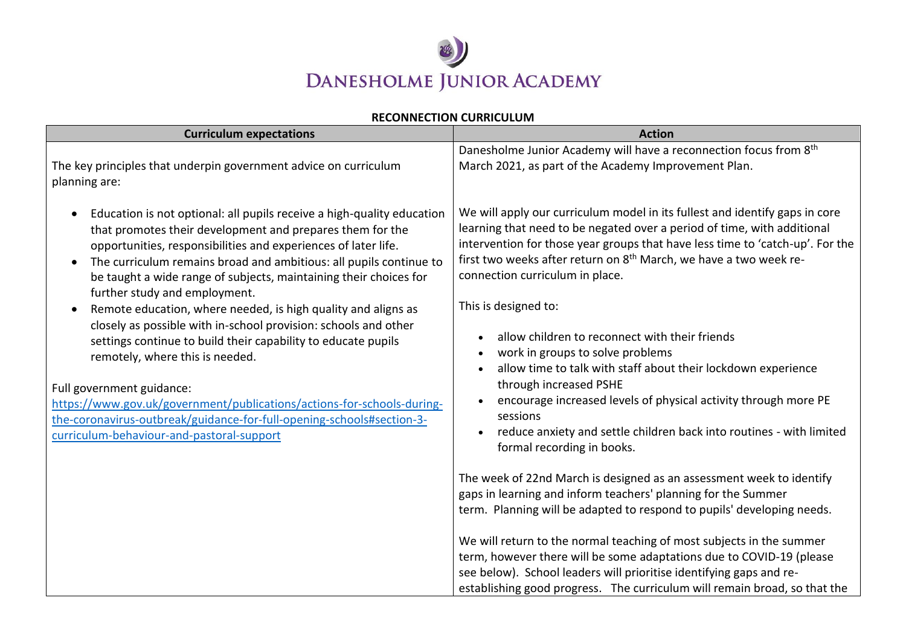

## **RECONNECTION CURRICULUM**

| <b>Curriculum expectations</b>                                                                                                                                                                                                                                                                                                                                                                                                                                                 | <b>Action</b>                                                                                                                                                                                                                                                                                                                                                                              |
|--------------------------------------------------------------------------------------------------------------------------------------------------------------------------------------------------------------------------------------------------------------------------------------------------------------------------------------------------------------------------------------------------------------------------------------------------------------------------------|--------------------------------------------------------------------------------------------------------------------------------------------------------------------------------------------------------------------------------------------------------------------------------------------------------------------------------------------------------------------------------------------|
| The key principles that underpin government advice on curriculum<br>planning are:                                                                                                                                                                                                                                                                                                                                                                                              | Danesholme Junior Academy will have a reconnection focus from 8 <sup>th</sup><br>March 2021, as part of the Academy Improvement Plan.                                                                                                                                                                                                                                                      |
| Education is not optional: all pupils receive a high-quality education<br>$\bullet$<br>that promotes their development and prepares them for the<br>opportunities, responsibilities and experiences of later life.<br>The curriculum remains broad and ambitious: all pupils continue to<br>$\bullet$<br>be taught a wide range of subjects, maintaining their choices for<br>further study and employment.                                                                    | We will apply our curriculum model in its fullest and identify gaps in core<br>learning that need to be negated over a period of time, with additional<br>intervention for those year groups that have less time to 'catch-up'. For the<br>first two weeks after return on 8 <sup>th</sup> March, we have a two week re-<br>connection curriculum in place.                                |
| Remote education, where needed, is high quality and aligns as<br>$\bullet$<br>closely as possible with in-school provision: schools and other<br>settings continue to build their capability to educate pupils<br>remotely, where this is needed.<br>Full government guidance:<br>https://www.gov.uk/government/publications/actions-for-schools-during-<br>the-coronavirus-outbreak/guidance-for-full-opening-schools#section-3-<br>curriculum-behaviour-and-pastoral-support | This is designed to:<br>allow children to reconnect with their friends<br>work in groups to solve problems<br>allow time to talk with staff about their lockdown experience<br>through increased PSHE<br>encourage increased levels of physical activity through more PE<br>sessions<br>reduce anxiety and settle children back into routines - with limited<br>formal recording in books. |
|                                                                                                                                                                                                                                                                                                                                                                                                                                                                                | The week of 22nd March is designed as an assessment week to identify<br>gaps in learning and inform teachers' planning for the Summer<br>term. Planning will be adapted to respond to pupils' developing needs.                                                                                                                                                                            |
|                                                                                                                                                                                                                                                                                                                                                                                                                                                                                | We will return to the normal teaching of most subjects in the summer<br>term, however there will be some adaptations due to COVID-19 (please<br>see below). School leaders will prioritise identifying gaps and re-<br>establishing good progress. The curriculum will remain broad, so that the                                                                                           |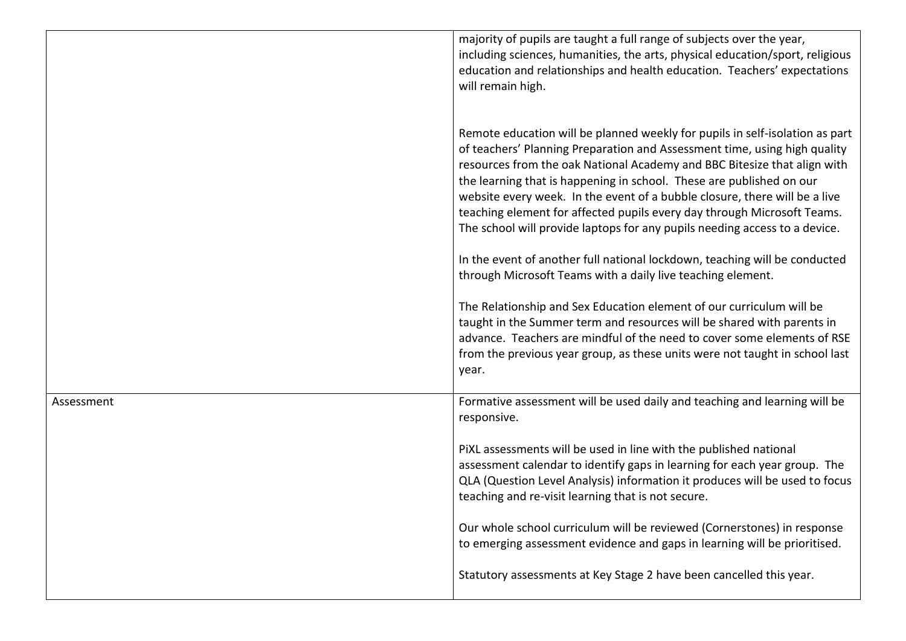|            | majority of pupils are taught a full range of subjects over the year,<br>including sciences, humanities, the arts, physical education/sport, religious<br>education and relationships and health education. Teachers' expectations<br>will remain high.                                                                                                                                                                                                                                                                                              |
|------------|------------------------------------------------------------------------------------------------------------------------------------------------------------------------------------------------------------------------------------------------------------------------------------------------------------------------------------------------------------------------------------------------------------------------------------------------------------------------------------------------------------------------------------------------------|
|            | Remote education will be planned weekly for pupils in self-isolation as part<br>of teachers' Planning Preparation and Assessment time, using high quality<br>resources from the oak National Academy and BBC Bitesize that align with<br>the learning that is happening in school. These are published on our<br>website every week. In the event of a bubble closure, there will be a live<br>teaching element for affected pupils every day through Microsoft Teams.<br>The school will provide laptops for any pupils needing access to a device. |
|            | In the event of another full national lockdown, teaching will be conducted<br>through Microsoft Teams with a daily live teaching element.                                                                                                                                                                                                                                                                                                                                                                                                            |
|            | The Relationship and Sex Education element of our curriculum will be<br>taught in the Summer term and resources will be shared with parents in<br>advance. Teachers are mindful of the need to cover some elements of RSE<br>from the previous year group, as these units were not taught in school last<br>year.                                                                                                                                                                                                                                    |
| Assessment | Formative assessment will be used daily and teaching and learning will be<br>responsive.                                                                                                                                                                                                                                                                                                                                                                                                                                                             |
|            | PIXL assessments will be used in line with the published national<br>assessment calendar to identify gaps in learning for each year group. The<br>QLA (Question Level Analysis) information it produces will be used to focus<br>teaching and re-visit learning that is not secure.                                                                                                                                                                                                                                                                  |
|            | Our whole school curriculum will be reviewed (Cornerstones) in response<br>to emerging assessment evidence and gaps in learning will be prioritised.                                                                                                                                                                                                                                                                                                                                                                                                 |
|            | Statutory assessments at Key Stage 2 have been cancelled this year.                                                                                                                                                                                                                                                                                                                                                                                                                                                                                  |